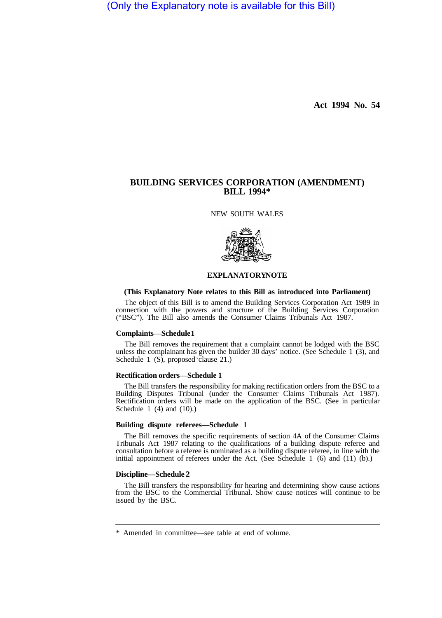(Only the Explanatory note is available for this Bill)

**Act 1994 No. 54** 

# **BUILDING SERVICES CORPORATION (AMENDMENT) BILL 1994\***

NEW SOUTH WALES



## **EXPLANATORY NOTE**

### **(This Explanatory Note relates to this Bill as introduced into Parliament)**

The object of this Bill is to amend the Building Services Corporation Act 1989 in connection with the powers and structure of the Building Services Corporation ("BSC"). The Bill also amends the Consumer Claims Tribunals Act 1987.

#### **Complaints—Schedule 1**

The Bill removes the requirement that a complaint cannot be lodged with the BSC unless the complainant has given the builder 30 days' notice. (See Schedule 1 (3), and Schedule 1 (S), proposed 'clause 21.)

## **Rectification orders—Schedule 1**

The Bill transfers the responsibility for making rectification orders from the BSC to a Building Disputes Tribunal (under the Consumer Claims Tribunals Act 1987). Rectification orders will be made on the application of the BSC. (See in particular Schedule 1 (4) and (10).)

## **Building dispute referees—Schedule 1**

The Bill removes the specific requirements of section 4A of the Consumer Claims Tribunals Act 1987 relating to the qualifications of a building dispute referee and consultation before a referee is nominated as a building dispute referee, in line with the initial appointment of referees under the Act. (See Schedule 1 (6) and (11) (b).)

### **Discipline—Schedule 2**

The Bill transfers the responsibility for hearing and determining show cause actions from the BSC to the Commercial Tribunal. Show cause notices will continue to be issued by the BSC.

<sup>\*</sup> Amended in committee—see table at end of volume.